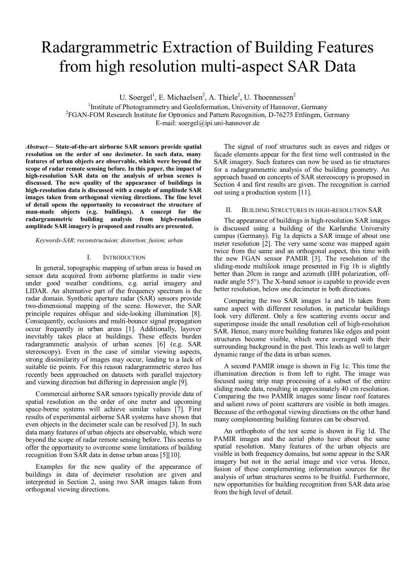# Radargrammetric Extraction of Building Features from high resolution multi-aspect SAR Data

U. Soergel<sup>1</sup>, E. Michaelsen<sup>2</sup>, A. Thiele<sup>2</sup>, U. Thoennessen<sup>2</sup>

<sup>1</sup>Institute of Photogrammetry and GeoInformation, University of Hannover, Germany<br><sup>2</sup>ECAN EQM Research Institute for Optropies and Pettern Researction, D. 76275 Ettlingen, C <sup>2</sup>FGAN-FOM Research Institute for Optronics and Pattern Recognition, D-76275 Ettlingen, Germany

E-mail: soergel@ipi.uni-hannover.de

*Abstract***— State-of-the-art airborne SAR sensors provide spatial resolution on the order of one decimeter. In such data, many features of urban objects are observable, which were beyond the scope of radar remote sensing before. In this paper, the impact of high-resolution SAR data on the analysis of urban scenes is discussed. The new quality of the appearance of buildings in high-resolution data is discussed with a couple of amplitude SAR images taken from orthogonal viewing directions. The fine level of detail opens the opportunity to reconstruct the structure of man-made objects (e.g. buildings). A concept for the radargrammetric building analysis from high-resolution amplitude SAR imagery is proposed and results are presented.** 

#### *Keywords-SAR; reconstructuíon; distortion; fusion; urban*

#### I. INTRODUCTION

In general, topographic mapping of urban areas is based on sensor data acquired from airborne platforms in nadir view under good weather conditions, e.g. aerial imagery and LIDAR. An alternative part of the frequency spectrum is the radar domain. Synthetic aperture radar (SAR) sensors provide two-dimensional mapping of the scene. However, the SAR principle requires oblique and side-looking illumination [8]. Consequently, occlusions and multi-bounce signal propagation occur frequently in urban areas [1]. Additionally, layover inevitably takes place at buildings. These effects burden radargrammetic analysis of urban scenes [6] (e.g. SAR stereoscopy). Even in the case of similar viewing aspects, strong dissimilarity of images may occur, leading to a lack of suitable tie points. For this reason radargrammetric stereo has recently been approached on datasets with parallel trajectory and viewing direction but differing in depression angle [9].

Commercial airborne SAR sensors typically provide data of spatial resolution on the order of one meter and upcoming space-borne systems will achieve similar values [7]. First results of experimental airborne SAR systems have shown that even objects in the decimeter scale can be resolved [3]. In such data many features of urban objects are observable, which were beyond the scope of radar remote sensing before. This seems to offer the opportunity to overcome some limitations of building recognition from SAR data in dense urban areas [5][10].

Examples for the new quality of the appearance of buildings in data of decimeter resolution are given and interpreted in Section 2, using two SAR images taken from orthogonal viewing directions.

The signal of roof structures such as eaves and ridges or facade elements appear for the first time well contrasted in the SAR imagery. Such features can now be used as tie structures for a radargrammetric analysis of the building geometry. An approach based on concepts of SAR stereoscopy is proposed in Section 4 and first results are given. The recognition is carried out using a production system [11].

# II. BUILDING STRUCTURES IN HIGH-RESOLUTION SAR

The appearance of buildings in high-resolution SAR images is discussed using a building of the Karlsruhe University campus (Germany). Fig 1a depicts a SAR image of about one meter resolution [2]. The very same scene was mapped again twice from the same and an orthogonal aspect, this time with the new FGAN sensor PAMIR [3]. The resolution of the sliding-mode multilook image presented in Fig 1b is slightly better than 20cm in range and azimuth (HH polarization, offnadir angle 55°). The X-band sensor is capable to provide even better resolution, below one decimeter in both directions.

Comparing the two SAR images 1a and 1b taken from same aspect with different resolution, in particular buildings look very different. Only a few scattering events occur and superimpose inside the small resolution cell of high-resolution SAR. Hence, many more building features like edges and point structures become visible, which were averaged with their surrounding background in the past. This leads as well to larger dynamic range of the data in urban scenes.

A second PAMIR image is shown in Fig 1c. This time the illumination direction is from left to right. The image was focused using strip map processing of a subset of the entire sliding mode data, resulting in approximately 40 cm resolution. Comparing the two PAMIR images some linear roof features and salient rows of point scatterers are visible in both images. Because of the orthogonal viewing directions on the other hand many complementing building features can be observed.

An orthophoto of the test scene is shown in Fig 1d. The PAMIR images and the aerial photo have about the same spatial resolution. Many features of the urban objects are visible in both frequency domains, but some appear in the SAR imagery but not in the aerial image and vice versa. Hence, fusion of these complementing information sources for the analysis of urban structures seems to be fruitful. Furthermore, new opportunities for building recognition from SAR data arise from the high level of detail.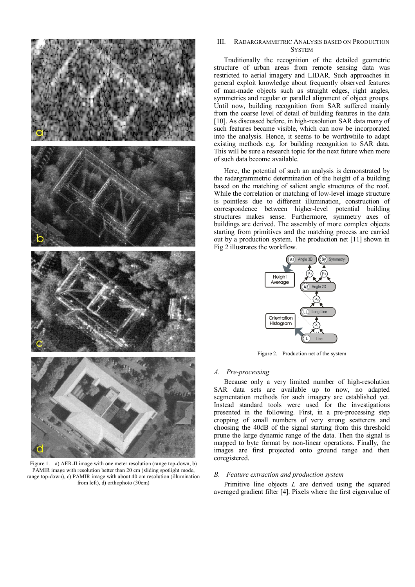

Figure 1. a) AER-II image with one meter resolution (range top-down, b) PAMIR image with resolution better than 20 cm (sliding spotlight mode, range top-down), c) PAMIR image with about 40 cm resolution (illumination from left), d) orthophoto (30cm)

# III. RADARGRAMMETRIC ANALYSIS BASED ON PRODUCTION **SYSTEM**

Traditionally the recognition of the detailed geometric structure of urban areas from remote sensing data was restricted to aerial imagery and LIDAR. Such approaches in general exploit knowledge about frequently observed features of man-made objects such as straight edges, right angles, symmetries and regular or parallel alignment of object groups. Until now, building recognition from SAR suffered mainly from the coarse level of detail of building features in the data [10]. As discussed before, in high-resolution SAR data many of such features became visible, which can now be incorporated into the analysis. Hence, it seems to be worthwhile to adapt existing methods e.g. for building recognition to SAR data. This will be sure a research topic for the next future when more of such data become available.

Here, the potential of such an analysis is demonstrated by the radargrammetric determination of the height of a building based on the matching of salient angle structures of the roof. While the correlation or matching of low-level image structure is pointless due to different illumination, construction of correspondence between higher-level potential building structures makes sense. Furthermore, symmetry axes of buildings are derived. The assembly of more complex objects starting from primitives and the matching process are carried out by a production system. The production net [11] shown in Fig 2 illustrates the workflow.



Figure 2. Production net of the system

# *A. Pre-processing*

Because only a very limited number of high-resolution SAR data sets are available up to now, no adapted segmentation methods for such imagery are established yet. Instead standard tools were used for the investigations presented in the following. First, in a pre-processing step cropping of small numbers of very strong scatterers and choosing the 40dB of the signal starting from this threshold prune the large dynamic range of the data. Then the signal is mapped to byte format by non-linear operations. Finally, the images are first projected onto ground range and then coregistered.

# *B. Feature extraction and production system*

Primitive line objects *L* are derived using the squared averaged gradient filter [4]. Pixels where the first eigenvalue of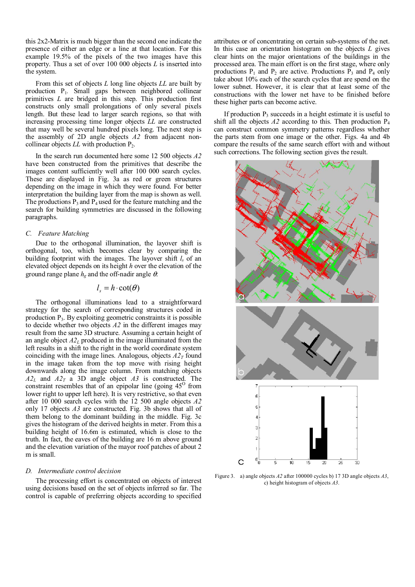this 2x2-Matrix is much bigger than the second one indicate the presence of either an edge or a line at that location. For this example 19.5% of the pixels of the two images have this property. Thus a set of over 100 000 objects *L* is inserted into the system.

From this set of objects *L* long line objects *LL* are built by production P1*.* Small gaps between neighbored collinear primitives *L* are bridged in this step. This production first constructs only small prolongations of only several pixels length. But these lead to larger search regions, so that with increasing processing time longer objects *LL* are constructed that may well be several hundred pixels long. The next step is the assembly of 2D angle objects *A2* from adjacent noncollinear objects  $LL$  with production  $P_2$ .

In the search run documented here some 12 500 objects *A2* have been constructed from the primitives that describe the images content sufficiently well after 100 000 search cycles. These are displayed in Fig. 3a as red or green structures depending on the image in which they were found. For better interpretation the building layer from the map is shown as well. The productions  $P_3$  and  $P_4$  used for the feature matching and the search for building symmetries are discussed in the following paragraphs.

## *C. Feature Matching*

Due to the orthogonal illumination, the layover shift is orthogonal, too, which becomes clear by comparing the building footprint with the images. The layover shift *ls* of an elevated object depends on its height *h* over the elevation of the ground range plane  $h_{\varepsilon}$  and the off-nadir angle  $\theta$ .

# $l_s = h \cdot \cot(\theta)$

The orthogonal illuminations lead to a straightforward strategy for the search of corresponding structures coded in production P3. By exploiting geometric constraints it is possible to decide whether two objects *A2* in the different images may result from the same 3D structure. Assuming a certain height of an angle object  $A2<sub>L</sub>$  produced in the image illuminated from the left results in a shift to the right in the world coordinate system coinciding with the image lines. Analogous, objects  $A2<sub>T</sub>$  found in the image taken from the top move with rising height downwards along the image column. From matching objects  $A2_L$  and  $A2_T$  a 3D angle object  $A3$  is constructed. The constraint resembles that of an epipolar line (going  $45^\circ$  from lower right to upper left here). It is very restrictive, so that even after 10 000 search cycles with the 12 500 angle objects *A2* only 17 objects *A3* are constructed. Fig. 3b shows that all of them belong to the dominant building in the middle. Fig. 3c gives the histogram of the derived heights in meter. From this a building height of 16.6m is estimated, which is close to the truth. In fact, the eaves of the building are 16 m above ground and the elevation variation of the mayor roof patches of about 2 m is small.

#### *D. Intermediate control decision*

The processing effort is concentrated on objects of interest using decisions based on the set of objects inferred so far. The control is capable of preferring objects according to specified attributes or of concentrating on certain sub-systems of the net. In this case an orientation histogram on the objects *L* gives clear hints on the major orientations of the buildings in the processed area. The main effort is on the first stage, where only productions  $P_1$  and  $P_2$  are active. Productions  $P_3$  and  $P_4$  only take about 10% each of the search cycles that are spend on the lower subnet. However, it is clear that at least some of the constructions with the lower net have to be finished before these higher parts can become active.

If production  $P_3$  succeeds in a height estimate it is useful to shift all the objects  $A2$  according to this. Then production  $P_4$ can construct common symmetry patterns regardless whether the parts stem from one image or the other. Figs. 4a and 4b compare the results of the same search effort with and without such corrections. The following section gives the result.



Figure 3. a) angle objects *A2* after 100000 cycles b) 17 3D angle objects *A3*, c) height histogram of objects *A3*.